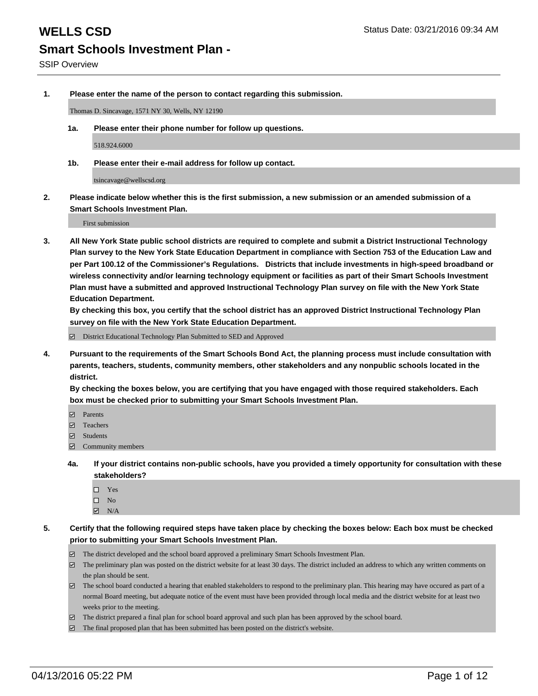**1. Please enter the name of the person to contact regarding this submission.**

Thomas D. Sincavage, 1571 NY 30, Wells, NY 12190

**1a. Please enter their phone number for follow up questions.**

518.924.6000

**1b. Please enter their e-mail address for follow up contact.**

tsincavage@wellscsd.org

**2. Please indicate below whether this is the first submission, a new submission or an amended submission of a Smart Schools Investment Plan.**

First submission

**3. All New York State public school districts are required to complete and submit a District Instructional Technology Plan survey to the New York State Education Department in compliance with Section 753 of the Education Law and per Part 100.12 of the Commissioner's Regulations. Districts that include investments in high-speed broadband or wireless connectivity and/or learning technology equipment or facilities as part of their Smart Schools Investment Plan must have a submitted and approved Instructional Technology Plan survey on file with the New York State Education Department.** 

**By checking this box, you certify that the school district has an approved District Instructional Technology Plan survey on file with the New York State Education Department.**

■ District Educational Technology Plan Submitted to SED and Approved

**4. Pursuant to the requirements of the Smart Schools Bond Act, the planning process must include consultation with parents, teachers, students, community members, other stakeholders and any nonpublic schools located in the district.** 

**By checking the boxes below, you are certifying that you have engaged with those required stakeholders. Each box must be checked prior to submitting your Smart Schools Investment Plan.**

- **Parents**
- □ Teachers
- Students
- $\boxdot$  Community members
- **4a. If your district contains non-public schools, have you provided a timely opportunity for consultation with these stakeholders?**
	- □ Yes
	- $\square$  No
	- $\boxtimes$  N/A
- **5. Certify that the following required steps have taken place by checking the boxes below: Each box must be checked prior to submitting your Smart Schools Investment Plan.**
	- The district developed and the school board approved a preliminary Smart Schools Investment Plan.
	- The preliminary plan was posted on the district website for at least 30 days. The district included an address to which any written comments on the plan should be sent.
	- $\Box$  The school board conducted a hearing that enabled stakeholders to respond to the preliminary plan. This hearing may have occured as part of a normal Board meeting, but adequate notice of the event must have been provided through local media and the district website for at least two weeks prior to the meeting.
	- The district prepared a final plan for school board approval and such plan has been approved by the school board.
	- The final proposed plan that has been submitted has been posted on the district's website.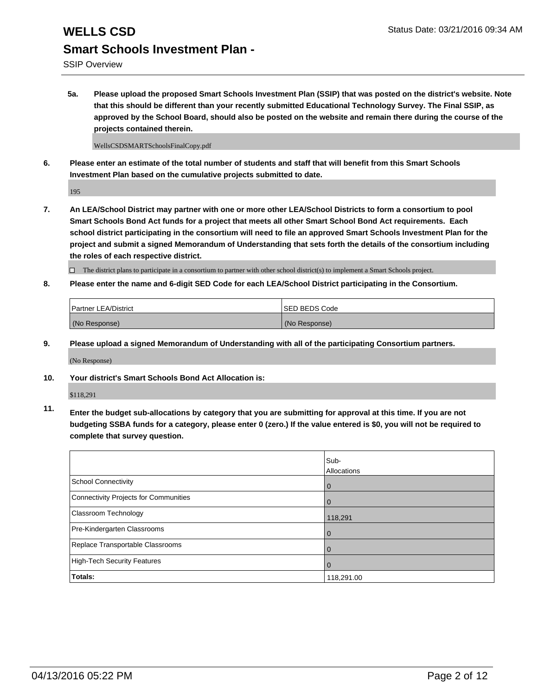## **WELLS CSD** Status Date: 03/21/2016 09:34 AM **Smart Schools Investment Plan -**

SSIP Overview

**5a. Please upload the proposed Smart Schools Investment Plan (SSIP) that was posted on the district's website. Note that this should be different than your recently submitted Educational Technology Survey. The Final SSIP, as approved by the School Board, should also be posted on the website and remain there during the course of the projects contained therein.**

WellsCSDSMARTSchoolsFinalCopy.pdf

**6. Please enter an estimate of the total number of students and staff that will benefit from this Smart Schools Investment Plan based on the cumulative projects submitted to date.**

195

**7. An LEA/School District may partner with one or more other LEA/School Districts to form a consortium to pool Smart Schools Bond Act funds for a project that meets all other Smart School Bond Act requirements. Each school district participating in the consortium will need to file an approved Smart Schools Investment Plan for the project and submit a signed Memorandum of Understanding that sets forth the details of the consortium including the roles of each respective district.**

 $\Box$  The district plans to participate in a consortium to partner with other school district(s) to implement a Smart Schools project.

**8. Please enter the name and 6-digit SED Code for each LEA/School District participating in the Consortium.**

| <b>Partner LEA/District</b> | <b>ISED BEDS Code</b> |
|-----------------------------|-----------------------|
| (No Response)               | (No Response)         |

**9. Please upload a signed Memorandum of Understanding with all of the participating Consortium partners.**

(No Response)

**10. Your district's Smart Schools Bond Act Allocation is:**

\$118,291

**11. Enter the budget sub-allocations by category that you are submitting for approval at this time. If you are not budgeting SSBA funds for a category, please enter 0 (zero.) If the value entered is \$0, you will not be required to complete that survey question.**

|                                       | Sub-<br>Allocations |
|---------------------------------------|---------------------|
| <b>School Connectivity</b>            | 0                   |
| Connectivity Projects for Communities | $\Omega$            |
| <b>Classroom Technology</b>           | 118,291             |
| Pre-Kindergarten Classrooms           | $\Omega$            |
| Replace Transportable Classrooms      |                     |
| High-Tech Security Features           | $\Omega$            |
| Totals:                               | 118,291.00          |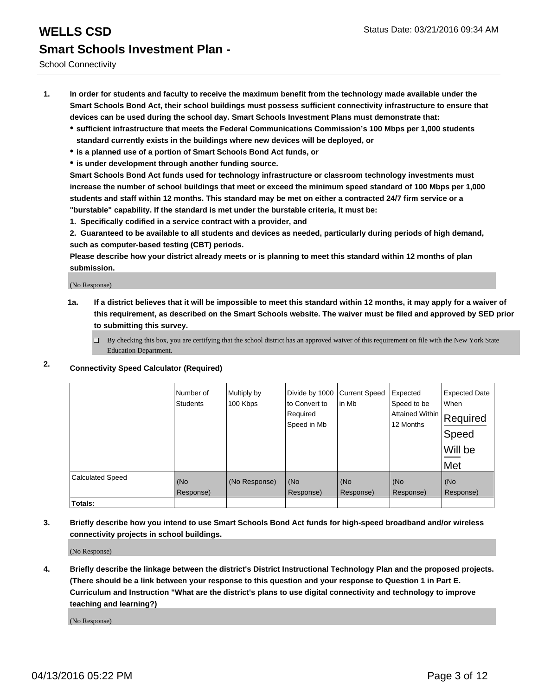- **1. In order for students and faculty to receive the maximum benefit from the technology made available under the Smart Schools Bond Act, their school buildings must possess sufficient connectivity infrastructure to ensure that devices can be used during the school day. Smart Schools Investment Plans must demonstrate that:**
	- **sufficient infrastructure that meets the Federal Communications Commission's 100 Mbps per 1,000 students standard currently exists in the buildings where new devices will be deployed, or**
	- **is a planned use of a portion of Smart Schools Bond Act funds, or**
	- **is under development through another funding source.**

**Smart Schools Bond Act funds used for technology infrastructure or classroom technology investments must increase the number of school buildings that meet or exceed the minimum speed standard of 100 Mbps per 1,000 students and staff within 12 months. This standard may be met on either a contracted 24/7 firm service or a "burstable" capability. If the standard is met under the burstable criteria, it must be:**

**1. Specifically codified in a service contract with a provider, and**

**2. Guaranteed to be available to all students and devices as needed, particularly during periods of high demand, such as computer-based testing (CBT) periods.**

**Please describe how your district already meets or is planning to meet this standard within 12 months of plan submission.**

(No Response)

- **1a. If a district believes that it will be impossible to meet this standard within 12 months, it may apply for a waiver of this requirement, as described on the Smart Schools website. The waiver must be filed and approved by SED prior to submitting this survey.**
	- □ By checking this box, you are certifying that the school district has an approved waiver of this requirement on file with the New York State Education Department.
- **2. Connectivity Speed Calculator (Required)**

|                         | Number of<br><b>Students</b> | Multiply by<br>100 Kbps | Divide by 1000<br>to Convert to<br>Required<br>Speed in Mb | <b>Current Speed</b><br>in Mb | Expected<br>Speed to be<br>Attained Within<br>12 Months | <b>Expected Date</b><br>When<br>Required<br>Speed<br>Will be<br>Met |
|-------------------------|------------------------------|-------------------------|------------------------------------------------------------|-------------------------------|---------------------------------------------------------|---------------------------------------------------------------------|
| <b>Calculated Speed</b> | (No<br>Response)             | (No Response)           | (No<br>Response)                                           | (No<br>Response)              | (No<br>Response)                                        | (No<br>Response)                                                    |
| Totals:                 |                              |                         |                                                            |                               |                                                         |                                                                     |

**3. Briefly describe how you intend to use Smart Schools Bond Act funds for high-speed broadband and/or wireless connectivity projects in school buildings.**

(No Response)

**4. Briefly describe the linkage between the district's District Instructional Technology Plan and the proposed projects. (There should be a link between your response to this question and your response to Question 1 in Part E. Curriculum and Instruction "What are the district's plans to use digital connectivity and technology to improve teaching and learning?)**

(No Response)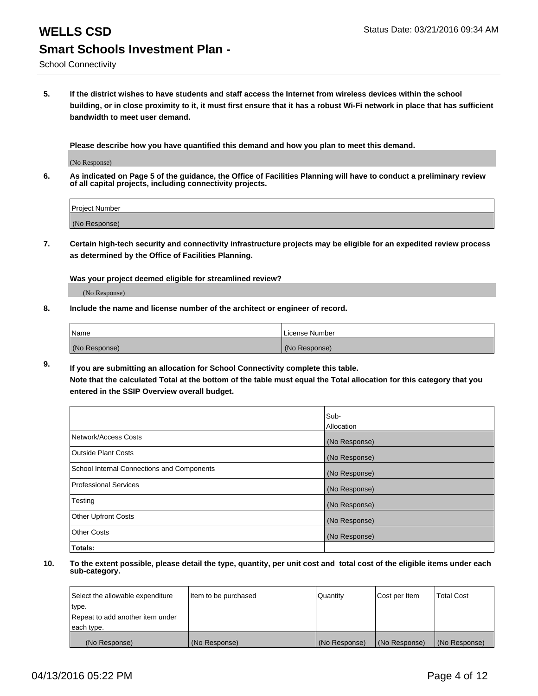**5. If the district wishes to have students and staff access the Internet from wireless devices within the school building, or in close proximity to it, it must first ensure that it has a robust Wi-Fi network in place that has sufficient bandwidth to meet user demand.**

**Please describe how you have quantified this demand and how you plan to meet this demand.**

(No Response)

**6. As indicated on Page 5 of the guidance, the Office of Facilities Planning will have to conduct a preliminary review of all capital projects, including connectivity projects.**

| <b>Project Number</b> |  |
|-----------------------|--|
| (No Response)         |  |

**7. Certain high-tech security and connectivity infrastructure projects may be eligible for an expedited review process as determined by the Office of Facilities Planning.**

**Was your project deemed eligible for streamlined review?**

(No Response)

**8. Include the name and license number of the architect or engineer of record.**

| Name          | License Number |
|---------------|----------------|
| (No Response) | (No Response)  |

**9. If you are submitting an allocation for School Connectivity complete this table. Note that the calculated Total at the bottom of the table must equal the Total allocation for this category that you entered in the SSIP Overview overall budget.** 

|                                            | Sub-          |
|--------------------------------------------|---------------|
|                                            | Allocation    |
| Network/Access Costs                       | (No Response) |
| <b>Outside Plant Costs</b>                 | (No Response) |
| School Internal Connections and Components | (No Response) |
| <b>Professional Services</b>               | (No Response) |
| Testing                                    | (No Response) |
| <b>Other Upfront Costs</b>                 | (No Response) |
| <b>Other Costs</b>                         | (No Response) |
| Totals:                                    |               |

| Select the allowable expenditure | Item to be purchased | Quantity      | Cost per Item | <b>Total Cost</b> |
|----------------------------------|----------------------|---------------|---------------|-------------------|
| type.                            |                      |               |               |                   |
| Repeat to add another item under |                      |               |               |                   |
| each type.                       |                      |               |               |                   |
| (No Response)                    | (No Response)        | (No Response) | (No Response) | (No Response)     |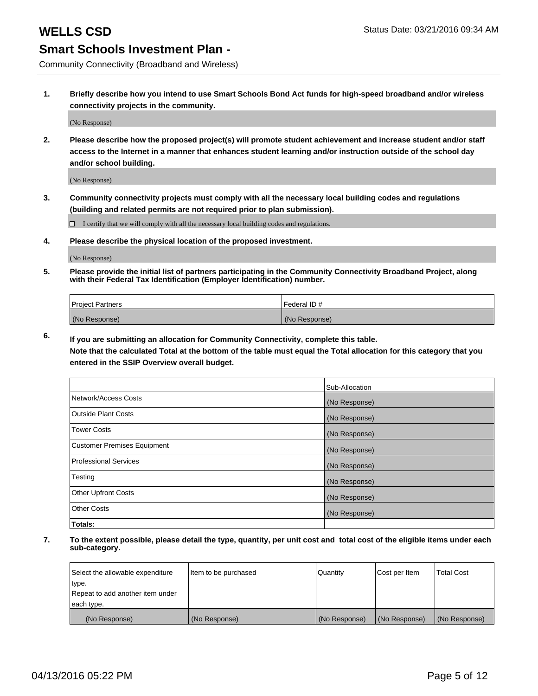Community Connectivity (Broadband and Wireless)

**1. Briefly describe how you intend to use Smart Schools Bond Act funds for high-speed broadband and/or wireless connectivity projects in the community.**

(No Response)

**2. Please describe how the proposed project(s) will promote student achievement and increase student and/or staff access to the Internet in a manner that enhances student learning and/or instruction outside of the school day and/or school building.**

(No Response)

**3. Community connectivity projects must comply with all the necessary local building codes and regulations (building and related permits are not required prior to plan submission).**

 $\Box$  I certify that we will comply with all the necessary local building codes and regulations.

**4. Please describe the physical location of the proposed investment.**

(No Response)

**5. Please provide the initial list of partners participating in the Community Connectivity Broadband Project, along with their Federal Tax Identification (Employer Identification) number.**

| <b>Project Partners</b> | I Federal ID # |
|-------------------------|----------------|
| (No Response)           | (No Response)  |

**6. If you are submitting an allocation for Community Connectivity, complete this table.**

**Note that the calculated Total at the bottom of the table must equal the Total allocation for this category that you entered in the SSIP Overview overall budget.**

|                                    | Sub-Allocation |
|------------------------------------|----------------|
| Network/Access Costs               | (No Response)  |
| Outside Plant Costs                | (No Response)  |
| Tower Costs                        | (No Response)  |
| <b>Customer Premises Equipment</b> | (No Response)  |
| Professional Services              | (No Response)  |
| Testing                            | (No Response)  |
| <b>Other Upfront Costs</b>         | (No Response)  |
| Other Costs                        | (No Response)  |
| Totals:                            |                |

| Select the allowable expenditure | Item to be purchased | Quantity      | Cost per Item | <b>Total Cost</b> |
|----------------------------------|----------------------|---------------|---------------|-------------------|
| type.                            |                      |               |               |                   |
| Repeat to add another item under |                      |               |               |                   |
| each type.                       |                      |               |               |                   |
| (No Response)                    | (No Response)        | (No Response) | (No Response) | (No Response)     |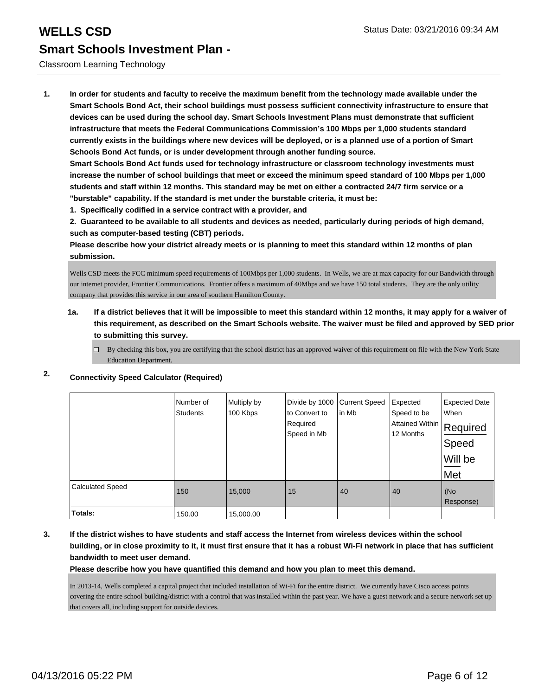## Classroom Learning Technology

**1. In order for students and faculty to receive the maximum benefit from the technology made available under the Smart Schools Bond Act, their school buildings must possess sufficient connectivity infrastructure to ensure that devices can be used during the school day. Smart Schools Investment Plans must demonstrate that sufficient infrastructure that meets the Federal Communications Commission's 100 Mbps per 1,000 students standard currently exists in the buildings where new devices will be deployed, or is a planned use of a portion of Smart Schools Bond Act funds, or is under development through another funding source.**

**Smart Schools Bond Act funds used for technology infrastructure or classroom technology investments must increase the number of school buildings that meet or exceed the minimum speed standard of 100 Mbps per 1,000 students and staff within 12 months. This standard may be met on either a contracted 24/7 firm service or a "burstable" capability. If the standard is met under the burstable criteria, it must be:**

**1. Specifically codified in a service contract with a provider, and**

**2. Guaranteed to be available to all students and devices as needed, particularly during periods of high demand, such as computer-based testing (CBT) periods.**

**Please describe how your district already meets or is planning to meet this standard within 12 months of plan submission.**

Wells CSD meets the FCC minimum speed requirements of 100Mbps per 1,000 students. In Wells, we are at max capacity for our Bandwidth through our internet provider, Frontier Communications. Frontier offers a maximum of 40Mbps and we have 150 total students. They are the only utility company that provides this service in our area of southern Hamilton County.

## **1a. If a district believes that it will be impossible to meet this standard within 12 months, it may apply for a waiver of this requirement, as described on the Smart Schools website. The waiver must be filed and approved by SED prior to submitting this survey.**

 $\Box$  By checking this box, you are certifying that the school district has an approved waiver of this requirement on file with the New York State Education Department.

|  | Connectivity speed Calculator (Required) |  |
|--|------------------------------------------|--|
|  |                                          |  |

**2. Connectivity Speed Calculator (Required)**

|                         | Number of<br><b>Students</b> | Multiply by<br>100 Kbps | Divide by 1000 Current Speed<br>to Convert to<br>Required<br>Speed in Mb | lin Mb | Expected<br>Speed to be<br>Attained Within<br>12 Months | <b>Expected Date</b><br>When<br>Required<br>Speed<br>Will be<br>Met |
|-------------------------|------------------------------|-------------------------|--------------------------------------------------------------------------|--------|---------------------------------------------------------|---------------------------------------------------------------------|
| <b>Calculated Speed</b> | 150                          | 15,000                  | 15                                                                       | 40     | 40                                                      | (No<br>Response)                                                    |
| Totals:                 | 150.00                       | 15,000.00               |                                                                          |        |                                                         |                                                                     |

**3. If the district wishes to have students and staff access the Internet from wireless devices within the school building, or in close proximity to it, it must first ensure that it has a robust Wi-Fi network in place that has sufficient bandwidth to meet user demand.**

**Please describe how you have quantified this demand and how you plan to meet this demand.**

In 2013-14, Wells completed a capital project that included installation of Wi-Fi for the entire district. We currently have Cisco access points covering the entire school building/district with a control that was installed within the past year. We have a guest network and a secure network set up that covers all, including support for outside devices.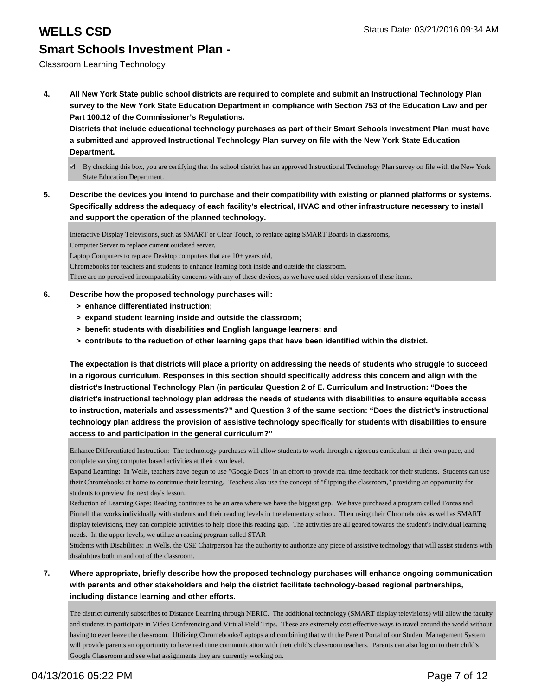## Classroom Learning Technology

**4. All New York State public school districts are required to complete and submit an Instructional Technology Plan survey to the New York State Education Department in compliance with Section 753 of the Education Law and per Part 100.12 of the Commissioner's Regulations.**

**Districts that include educational technology purchases as part of their Smart Schools Investment Plan must have a submitted and approved Instructional Technology Plan survey on file with the New York State Education Department.**

- $\boxtimes$  By checking this box, you are certifying that the school district has an approved Instructional Technology Plan survey on file with the New York State Education Department.
- **5. Describe the devices you intend to purchase and their compatibility with existing or planned platforms or systems. Specifically address the adequacy of each facility's electrical, HVAC and other infrastructure necessary to install and support the operation of the planned technology.**

Interactive Display Televisions, such as SMART or Clear Touch, to replace aging SMART Boards in classrooms,

Computer Server to replace current outdated server,

Laptop Computers to replace Desktop computers that are 10+ years old,

Chromebooks for teachers and students to enhance learning both inside and outside the classroom.

There are no perceived incompatability concerns with any of these devices, as we have used older versions of these items.

### **6. Describe how the proposed technology purchases will:**

- **> enhance differentiated instruction;**
- **> expand student learning inside and outside the classroom;**
- **> benefit students with disabilities and English language learners; and**
- **> contribute to the reduction of other learning gaps that have been identified within the district.**

**The expectation is that districts will place a priority on addressing the needs of students who struggle to succeed in a rigorous curriculum. Responses in this section should specifically address this concern and align with the district's Instructional Technology Plan (in particular Question 2 of E. Curriculum and Instruction: "Does the district's instructional technology plan address the needs of students with disabilities to ensure equitable access to instruction, materials and assessments?" and Question 3 of the same section: "Does the district's instructional technology plan address the provision of assistive technology specifically for students with disabilities to ensure access to and participation in the general curriculum?"**

Enhance Differentiated Instruction: The technology purchases will allow students to work through a rigorous curriculum at their own pace, and complete varying computer based activities at their own level.

Expand Learning: In Wells, teachers have begun to use "Google Docs" in an effort to provide real time feedback for their students. Students can use their Chromebooks at home to contimue their learning. Teachers also use the concept of "flipping the classroom," providing an opportunity for students to preview the next day's lesson.

Reduction of Learning Gaps: Reading continues to be an area where we have the biggest gap. We have purchased a program called Fontas and Pinnell that works individually with students and their reading levels in the elementary school. Then using their Chromebooks as well as SMART display televisions, they can complete activities to help close this reading gap. The activities are all geared towards the student's individual learning needs. In the upper levels, we utilize a reading program called STAR

Students with Disabilities: In Wells, the CSE Chairperson has the authority to authorize any piece of assistive technology that will assist students with disabilities both in and out of the classroom.

**7. Where appropriate, briefly describe how the proposed technology purchases will enhance ongoing communication with parents and other stakeholders and help the district facilitate technology-based regional partnerships, including distance learning and other efforts.**

The district currently subscribes to Distance Learning through NERIC. The additional technology (SMART display televisions) will allow the faculty and students to participate in Video Conferencing and Virtual Field Trips. These are extremely cost effective ways to travel around the world without having to ever leave the classroom. Utilizing Chromebooks/Laptops and combining that with the Parent Portal of our Student Management System will provide parents an opportunity to have real time communication with their child's classroom teachers. Parents can also log on to their child's Google Classroom and see what assignments they are currently working on.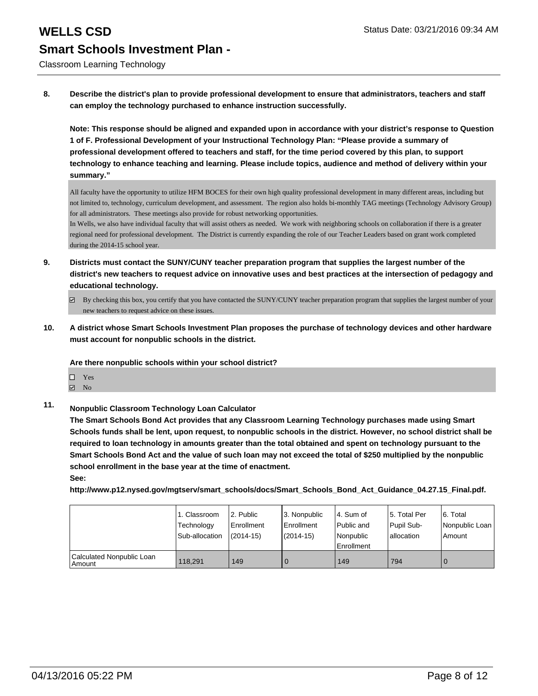Classroom Learning Technology

**8. Describe the district's plan to provide professional development to ensure that administrators, teachers and staff can employ the technology purchased to enhance instruction successfully.**

**Note: This response should be aligned and expanded upon in accordance with your district's response to Question 1 of F. Professional Development of your Instructional Technology Plan: "Please provide a summary of professional development offered to teachers and staff, for the time period covered by this plan, to support technology to enhance teaching and learning. Please include topics, audience and method of delivery within your summary."**

All faculty have the opportunity to utilize HFM BOCES for their own high quality professional development in many different areas, including but not limited to, technology, curriculum development, and assessment. The region also holds bi-monthly TAG meetings (Technology Advisory Group) for all administrators. These meetings also provide for robust networking opportunities.

In Wells, we also have individual faculty that will assist others as needed. We work with neighboring schools on collaboration if there is a greater regional need for professional development. The District is currently expanding the role of our Teacher Leaders based on grant work completed during the 2014-15 school year.

**9. Districts must contact the SUNY/CUNY teacher preparation program that supplies the largest number of the district's new teachers to request advice on innovative uses and best practices at the intersection of pedagogy and educational technology.**

**10. A district whose Smart Schools Investment Plan proposes the purchase of technology devices and other hardware must account for nonpublic schools in the district.**

## **Are there nonpublic schools within your school district?**

- Yes
- $\boxdot$  No
- **11. Nonpublic Classroom Technology Loan Calculator**

**The Smart Schools Bond Act provides that any Classroom Learning Technology purchases made using Smart Schools funds shall be lent, upon request, to nonpublic schools in the district. However, no school district shall be required to loan technology in amounts greater than the total obtained and spent on technology pursuant to the Smart Schools Bond Act and the value of such loan may not exceed the total of \$250 multiplied by the nonpublic school enrollment in the base year at the time of enactment.**

**See:**

**http://www.p12.nysed.gov/mgtserv/smart\_schools/docs/Smart\_Schools\_Bond\_Act\_Guidance\_04.27.15\_Final.pdf.**

|                                     | 1. Classroom<br>Technology<br>Sub-allocation | 2. Public<br>Enrollment<br>(2014-15) | 3. Nonpublic<br><b>Enrollment</b><br>(2014-15) | l 4. Sum of<br>Public and<br>Nonpublic | 15. Total Per<br>Pupil Sub-<br>lallocation | 6. Total<br>Nonpublic Loan<br>Amount |
|-------------------------------------|----------------------------------------------|--------------------------------------|------------------------------------------------|----------------------------------------|--------------------------------------------|--------------------------------------|
|                                     |                                              |                                      |                                                | <b>Enrollment</b>                      |                                            |                                      |
| Calculated Nonpublic Loan<br>Amount | 118.291                                      | 149                                  | 0                                              | 149                                    | 794                                        |                                      |

By checking this box, you certify that you have contacted the SUNY/CUNY teacher preparation program that supplies the largest number of your new teachers to request advice on these issues.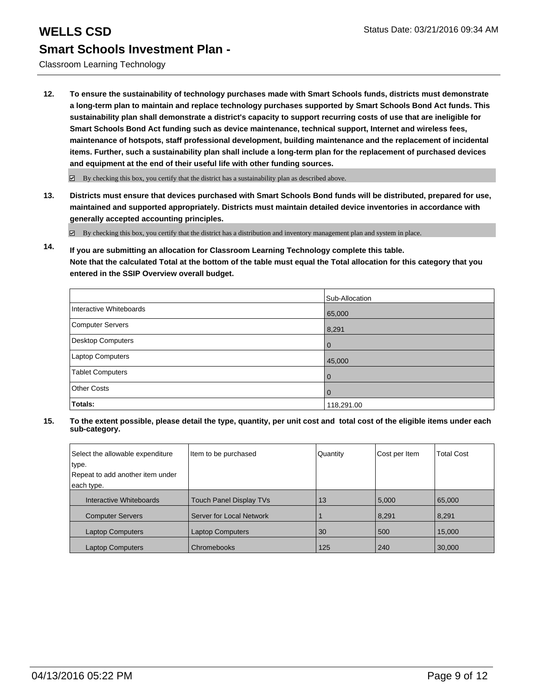## Classroom Learning Technology

**12. To ensure the sustainability of technology purchases made with Smart Schools funds, districts must demonstrate a long-term plan to maintain and replace technology purchases supported by Smart Schools Bond Act funds. This sustainability plan shall demonstrate a district's capacity to support recurring costs of use that are ineligible for Smart Schools Bond Act funding such as device maintenance, technical support, Internet and wireless fees, maintenance of hotspots, staff professional development, building maintenance and the replacement of incidental items. Further, such a sustainability plan shall include a long-term plan for the replacement of purchased devices and equipment at the end of their useful life with other funding sources.**

 $\boxdot$  By checking this box, you certify that the district has a sustainability plan as described above.

**13. Districts must ensure that devices purchased with Smart Schools Bond funds will be distributed, prepared for use, maintained and supported appropriately. Districts must maintain detailed device inventories in accordance with generally accepted accounting principles.**

By checking this box, you certify that the district has a distribution and inventory management plan and system in place.

**14. If you are submitting an allocation for Classroom Learning Technology complete this table. Note that the calculated Total at the bottom of the table must equal the Total allocation for this category that you entered in the SSIP Overview overall budget.**

|                         | Sub-Allocation |
|-------------------------|----------------|
| Interactive Whiteboards | 65,000         |
| Computer Servers        | 8,291          |
| Desktop Computers       | $\mathbf 0$    |
| Laptop Computers        | 45,000         |
| <b>Tablet Computers</b> | $\mathbf 0$    |
| <b>Other Costs</b>      | $\mathbf 0$    |
| Totals:                 | 118,291.00     |

| Select the allowable expenditure | Item to be purchased           | Quantity | Cost per Item | <b>Total Cost</b> |
|----------------------------------|--------------------------------|----------|---------------|-------------------|
| type.                            |                                |          |               |                   |
| Repeat to add another item under |                                |          |               |                   |
| each type.                       |                                |          |               |                   |
| Interactive Whiteboards          | <b>Touch Panel Display TVs</b> | 13       | 5,000         | 65,000            |
| <b>Computer Servers</b>          | Server for Local Network       |          | 8,291         | 8,291             |
| <b>Laptop Computers</b>          | <b>Laptop Computers</b>        | 30       | 500           | 15,000            |
| <b>Laptop Computers</b>          | Chromebooks                    | 125      | 240           | 30,000            |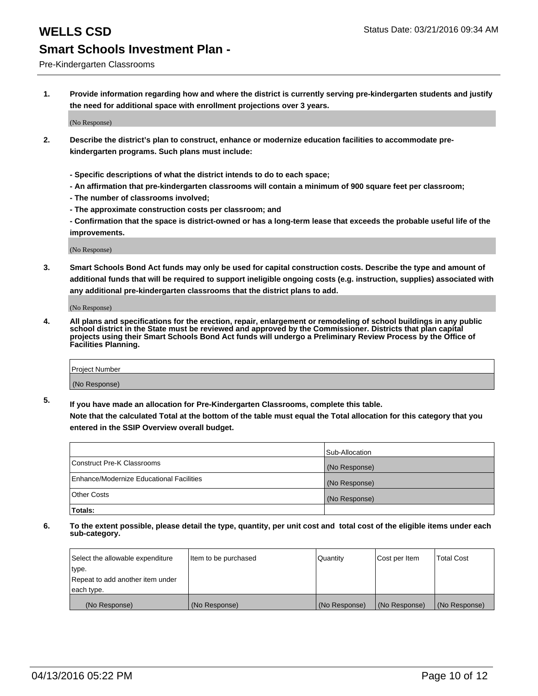Pre-Kindergarten Classrooms

**1. Provide information regarding how and where the district is currently serving pre-kindergarten students and justify the need for additional space with enrollment projections over 3 years.**

(No Response)

- **2. Describe the district's plan to construct, enhance or modernize education facilities to accommodate prekindergarten programs. Such plans must include:**
	- **Specific descriptions of what the district intends to do to each space;**
	- **An affirmation that pre-kindergarten classrooms will contain a minimum of 900 square feet per classroom;**
	- **The number of classrooms involved;**
	- **The approximate construction costs per classroom; and**
	- **Confirmation that the space is district-owned or has a long-term lease that exceeds the probable useful life of the improvements.**

(No Response)

**3. Smart Schools Bond Act funds may only be used for capital construction costs. Describe the type and amount of additional funds that will be required to support ineligible ongoing costs (e.g. instruction, supplies) associated with any additional pre-kindergarten classrooms that the district plans to add.**

(No Response)

**4. All plans and specifications for the erection, repair, enlargement or remodeling of school buildings in any public school district in the State must be reviewed and approved by the Commissioner. Districts that plan capital projects using their Smart Schools Bond Act funds will undergo a Preliminary Review Process by the Office of Facilities Planning.**

| Project Number |  |
|----------------|--|
| (No Response)  |  |

**5. If you have made an allocation for Pre-Kindergarten Classrooms, complete this table. Note that the calculated Total at the bottom of the table must equal the Total allocation for this category that you**

**entered in the SSIP Overview overall budget.**

|                                          | Sub-Allocation |
|------------------------------------------|----------------|
| Construct Pre-K Classrooms               | (No Response)  |
| Enhance/Modernize Educational Facilities | (No Response)  |
| Other Costs                              | (No Response)  |
| Totals:                                  |                |

| Select the allowable expenditure | Item to be purchased | Quantity      | Cost per Item | <b>Total Cost</b> |
|----------------------------------|----------------------|---------------|---------------|-------------------|
| type.                            |                      |               |               |                   |
| Repeat to add another item under |                      |               |               |                   |
| each type.                       |                      |               |               |                   |
| (No Response)                    | (No Response)        | (No Response) | (No Response) | (No Response)     |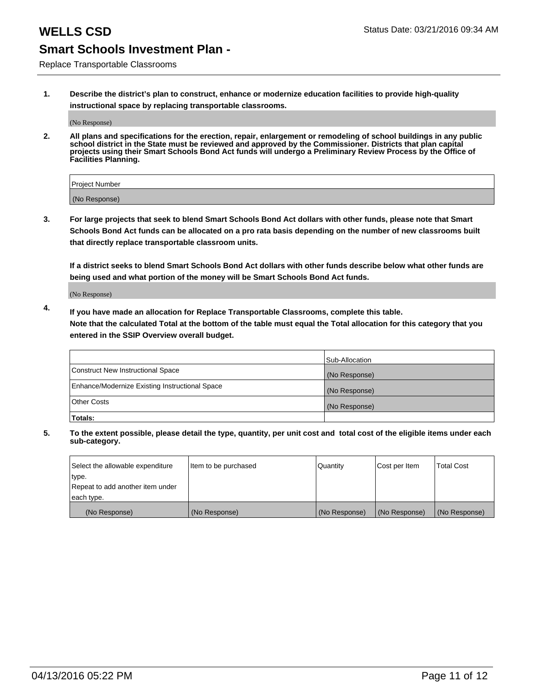Replace Transportable Classrooms

**1. Describe the district's plan to construct, enhance or modernize education facilities to provide high-quality instructional space by replacing transportable classrooms.**

(No Response)

**2. All plans and specifications for the erection, repair, enlargement or remodeling of school buildings in any public school district in the State must be reviewed and approved by the Commissioner. Districts that plan capital projects using their Smart Schools Bond Act funds will undergo a Preliminary Review Process by the Office of Facilities Planning.**

| Project Number |  |
|----------------|--|
| (No Response)  |  |

**3. For large projects that seek to blend Smart Schools Bond Act dollars with other funds, please note that Smart Schools Bond Act funds can be allocated on a pro rata basis depending on the number of new classrooms built that directly replace transportable classroom units.**

**If a district seeks to blend Smart Schools Bond Act dollars with other funds describe below what other funds are being used and what portion of the money will be Smart Schools Bond Act funds.**

(No Response)

**4. If you have made an allocation for Replace Transportable Classrooms, complete this table. Note that the calculated Total at the bottom of the table must equal the Total allocation for this category that you entered in the SSIP Overview overall budget.**

|                                                | Sub-Allocation |
|------------------------------------------------|----------------|
| Construct New Instructional Space              | (No Response)  |
| Enhance/Modernize Existing Instructional Space | (No Response)  |
| <b>Other Costs</b>                             | (No Response)  |
| Totals:                                        |                |

| Select the allowable expenditure | Item to be purchased | <b>Quantity</b> | Cost per Item | <b>Total Cost</b> |
|----------------------------------|----------------------|-----------------|---------------|-------------------|
| type.                            |                      |                 |               |                   |
| Repeat to add another item under |                      |                 |               |                   |
| each type.                       |                      |                 |               |                   |
| (No Response)                    | (No Response)        | (No Response)   | (No Response) | (No Response)     |